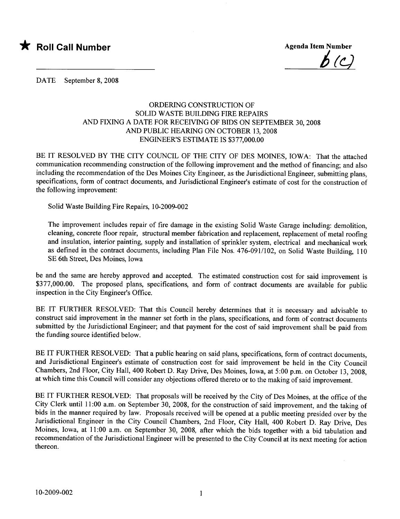

 $b(c)$ 

DATE September 8, 2008

## ORDERING CONSTRUCTION OF SOLID WASTE BUILDING FIRE REPAIRS AND FIXING A DATE FOR RECEIVING OF BIDS ON SEPTEMBER 30, 2008 AND PUBLIC HEARING ON OCTOBER 13, 2008 ENGINEER'S ESTIMATE IS \$377,000.00

BE IT RESOLVED BY THE CITY COUNCIL OF THE CITY OF DES MOINES, IOWA: That the attached communication recommending construction of the following improvement and the method of financing; and also including the recommendation of the Des Moines City Engineer, as the Jurisdictional Engineer, submitting plans, specifications, form of contract documents, and Jurisdictional Engineer's estimate of cost for the construction of the following improvement:

Solid Waste Building Fire Repairs, 10-2009-002

The improvement includes repair of fire damage in the existing Solid Waste Garage including: demolition, cleaning, concrete floor repair, structural member fabrication and replacement, replacement of metal roofing and insulation, interior painting, supply and installation of sprinkler system, electrical and mechanical work as defined in the contract documents, including Plan File Nos. 476-091/102, on Solid Waste Building, 110 SE 6th Street, Des Moines, Iowa

be and the same are hereby approved and accepted. The estimated construction cost for said improvement is \$377,000.00. The proposed plans, specifications, and form of contract documents are available for public inspection in the City Engineer's Office.

BE IT FURTHER RESOLVED: That this Council hereby determines that it is necessary and advisable to construct said improvement in the manner set forth in the plans, specifications, and form of contract documents submitted by the Jurisdictional Engineer; and that payment for the cost of said improvement shall be paid from the funding source identified below.

BE IT FURTHER RESOLVED: That a public hearing on said plans, specifications, form of contract documents, and Jurisdictional Engineer's estimate of construction cost for said improvement be held in the City Council Chambers, 2nd Floor, City Hall, 400 Robert D. Ray Drive, Des Moines, Iowa, at 5:00 p.m. on October 13,2008, at which time this Council will consider any objections offered thereto or to the making of said improvement.

BE IT FURTHER RESOLVED: That proposals will be received by the City of Des Moines, at the office of the City Clerk until 11:00 a.m. on September 30, 2008, for the construction of said improvement, and the taking of bids in the manner required by law. Proposals received will be opened at a public meeting presided over by the Jurisdictional Engineer in the City Council Chambers, 2nd Floor, City Hall, 400 Robert D. Ray Drive, Des Moines, Iowa, at 11:00 a.m. on September 30, 2008, after which the bids together with a bid tabulation and recommendation of the Jurisdictional Engineer will be presented to the City Council at its next meeting for action thereon.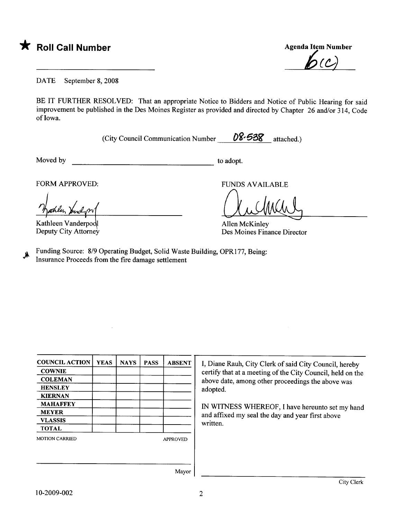

 $\bm{b}$ (c)

DATE September 8, 2008

BE IT FURTHER RESOLVED: That an appropriate Notice to Bidders and Notice of Public Hearing for said improvement be published in the Des Moines Register as provided and directed by Chapter 26 and/or 314, Code of Iowa.

(City Council Communication Number  $\sqrt{08.538}$  attached.)

Moved by to adopt.

FORM APPROVED: FUNDS AVAILABLE

Kathleen Vanderpo Deputy City Attorney

FUNDS AVAILA<br>Allen McKinley

Des Moines Finance Director

Funding Source: 8/9 Operating Budget, Solid Waste Building, OPR177, Being:  $M$  Funding Source: 8/9 Operating Budget, Solid Waste Business 77, Beings 77, Beings and Theorem in Section 17, Beings 17, Beings 17, Beings 17, Beings 17, Beings 17, Beings 17, Beings 17, Beings 17, Beings 17, Beings 17,

| <b>COUNCIL ACTION</b> | <b>YEAS</b> | <b>NAYS</b> | <b>PASS</b>     | <b>ABSENT</b> |  |  |
|-----------------------|-------------|-------------|-----------------|---------------|--|--|
| <b>COWNIE</b>         |             |             |                 |               |  |  |
| <b>COLEMAN</b>        |             |             |                 |               |  |  |
| <b>HENSLEY</b>        |             |             |                 |               |  |  |
| <b>KIERNAN</b>        |             |             |                 |               |  |  |
| <b>MAHAFFEY</b>       |             |             |                 |               |  |  |
| <b>MEYER</b>          |             |             |                 |               |  |  |
| <b>VLASSIS</b>        |             |             |                 |               |  |  |
| <b>TOTAL</b>          |             |             |                 |               |  |  |
| <b>MOTION CARRIED</b> |             |             | <b>APPROVED</b> |               |  |  |
|                       |             |             |                 |               |  |  |
|                       |             |             |                 |               |  |  |

I, Diane Rauh, City Clerk of said City Council, hereby certify that at a meeting of the City Council, held on the above date, among other proceedings the above was adopted.

IN WITNESS WHREOF, I have hereunto set my hand and affixed my seal the day and year first above written.

Mayor